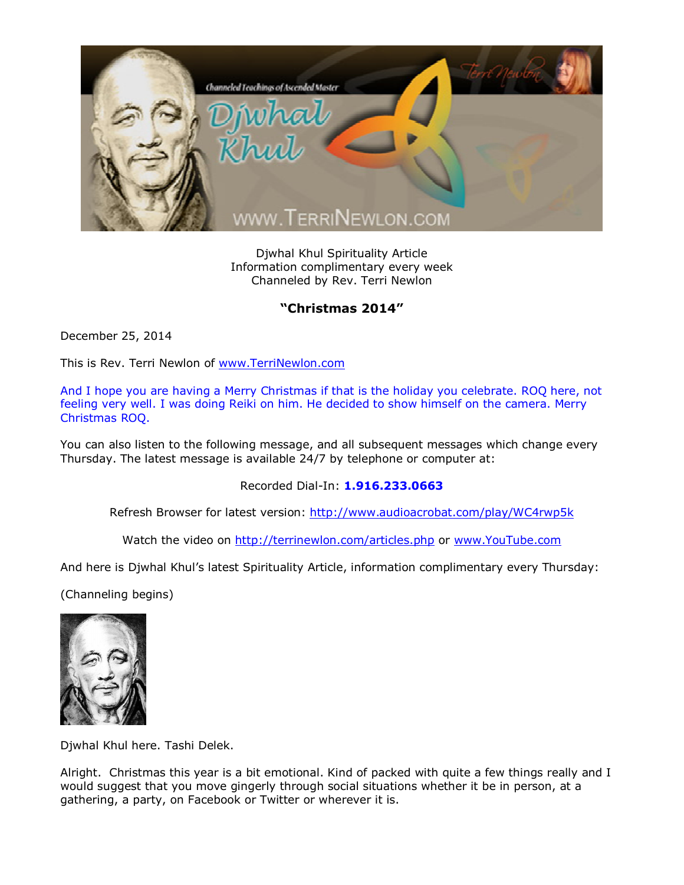

Djwhal Khul Spirituality Article Information complimentary every week Channeled by Rev. Terri Newlon

## **"Christmas 2014"**

December 25, 2014

This is Rev. Terri Newlon of [www.TerriNewlon.com](http://www.terrinewlon.com/)

And I hope you are having a Merry Christmas if that is the holiday you celebrate. ROQ here, not feeling very well. I was doing Reiki on him. He decided to show himself on the camera. Merry Christmas ROQ.

You can also listen to the following message, and all subsequent messages which change every Thursday. The latest message is available 24/7 by telephone or computer at:

Recorded Dial-In: **1.916.233.0663**

Refresh Browser for latest version: <http://www.audioacrobat.com/play/WC4rwp5k>

Watch the video on <http://terrinewlon.com/articles.php> or [www.YouTube.com](http://www.youtube.com/)

And here is Djwhal Khul's latest Spirituality Article, information complimentary every Thursday:

(Channeling begins)



Djwhal Khul here. Tashi Delek.

Alright. Christmas this year is a bit emotional. Kind of packed with quite a few things really and I would suggest that you move gingerly through social situations whether it be in person, at a gathering, a party, on Facebook or Twitter or wherever it is.